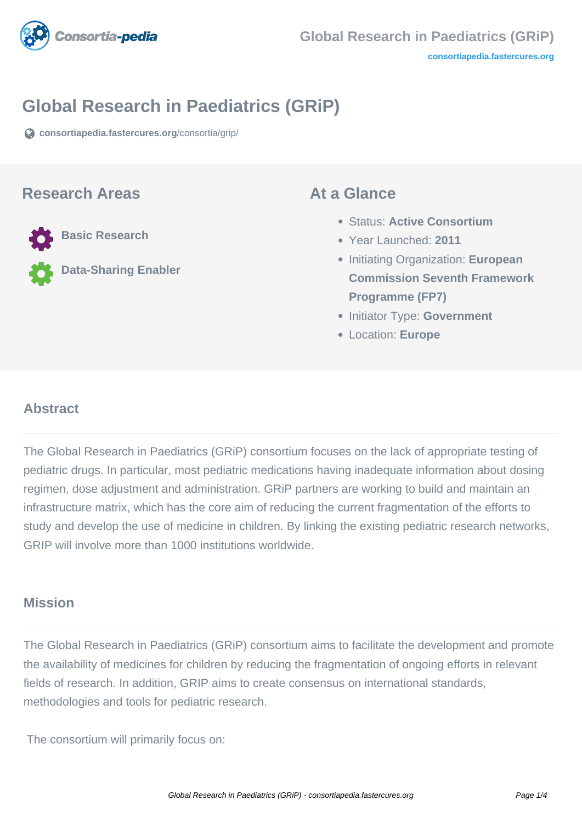

# **Global Research in Paediatrics (GRiP)**

**[consortiapedia.fastercures.org](https://consortiapedia.fastercures.org/consortia/grip/)**[/consortia/grip/](https://consortiapedia.fastercures.org/consortia/grip/)

### **Research Areas**

**Basic Research**

**Data-Sharing Enabler**

### **At a Glance**

- Status: **Active Consortium**
- Year Launched: **2011**
- **Initiating Organization: European Commission Seventh Framework Programme (FP7)**
- **Initiator Type: Government**
- Location: **Europe**

### $\overline{a}$ **Abstract**

The Global Research in Paediatrics (GRiP) consortium focuses on the lack of appropriate testing of pediatric drugs. In particular, most pediatric medications having inadequate information about dosing regimen, dose adjustment and administration. GRiP partners are working to build and maintain an infrastructure matrix, which has the core aim of reducing the current fragmentation of the efforts to study and develop the use of medicine in children. By linking the existing pediatric research networks, GRIP will involve more than 1000 institutions worldwide.

## **Mission**

The Global Research in Paediatrics (GRiP) consortium aims to facilitate the development and promote the availability of medicines for children by reducing the fragmentation of ongoing efforts in relevant fields of research. In addition, GRIP aims to create consensus on international standards, methodologies and tools for pediatric research.

The consortium will primarily focus on: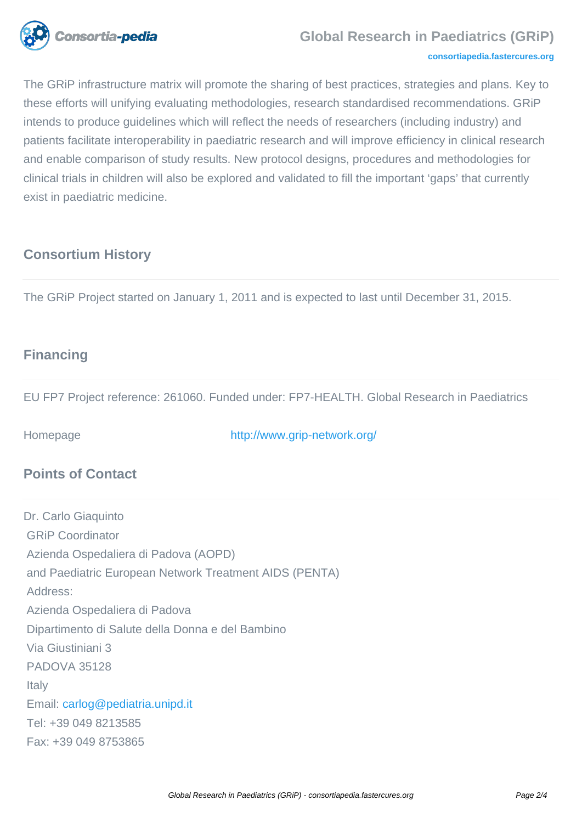

### **Global Research in Paediatrics (GRiP)**

#### **[consortiapedia.fastercures.org](http://consortiapedia.fastercures.org/)**

The GRiP infrastructure matrix will promote the sharing of best practices, strategies and plans. Key to these efforts will unifying evaluating methodologies, research standardised recommendations. GRiP intends to produce guidelines which will reflect the needs of researchers (including industry) and patients facilitate interoperability in paediatric research and will improve efficiency in clinical research and enable comparison of study results. New protocol designs, procedures and methodologies for clinical trials in children will also be explored and validated to fill the important 'gaps' that currently exist in paediatric medicine.

## **Consortium History**

The GRiP Project started on January 1, 2011 and is expected to last until December 31, 2015.

## **Financing**

EU FP7 Project reference: 261060. Funded under: FP7-HEALTH. Global Research in Paediatrics

Homepage <http://www.grip-network.org/>

## **Points of Contact**

Dr. Carlo Giaquinto GRiP Coordinator Azienda Ospedaliera di Padova (AOPD) and Paediatric European Network Treatment AIDS (PENTA) Address: Azienda Ospedaliera di Padova Dipartimento di Salute della Donna e del Bambino Via Giustiniani 3 PADOVA 35128 Italy Email: [carlog@pediatria.unipd.it](mailto:carlog@pediatria.unipd.it) Tel: +39 049 8213585 Fax: +39 049 8753865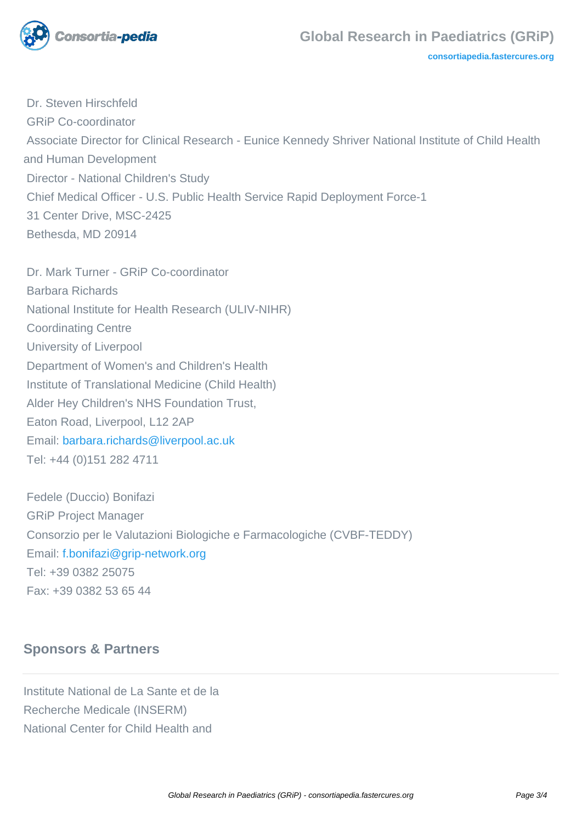

**[consortiapedia.fastercures.org](http://consortiapedia.fastercures.org/)**

 Dr. Steven Hirschfeld GRiP Co-coordinator Associate Director for Clinical Research - Eunice Kennedy Shriver National Institute of Child Health and Human Development Director - National Children's Study Chief Medical Officer - U.S. Public Health Service Rapid Deployment Force-1 31 Center Drive, MSC-2425 Bethesda, MD 20914

 Dr. Mark Turner - GRiP Co-coordinator Barbara Richards National Institute for Health Research (ULIV-NIHR) Coordinating Centre University of Liverpool Department of Women's and Children's Health Institute of Translational Medicine (Child Health) Alder Hey Children's NHS Foundation Trust, Eaton Road, Liverpool, L12 2AP Email: [barbara.richards@liverpool.ac.uk](mailto:barbara.richards@liverpool.ac.uk) Tel: +44 (0)151 282 4711

 Fedele (Duccio) Bonifazi GRiP Project Manager Consorzio per le Valutazioni Biologiche e Farmacologiche (CVBF-TEDDY) Email: [f.bonifazi@grip-network.org](mailto:f.bonifazi@grip-network.org) Tel: +39 0382 25075 Fax: +39 0382 53 65 44

## **Sponsors & Partners**

Institute National de La Sante et de la Recherche Medicale (INSERM) National Center for Child Health and